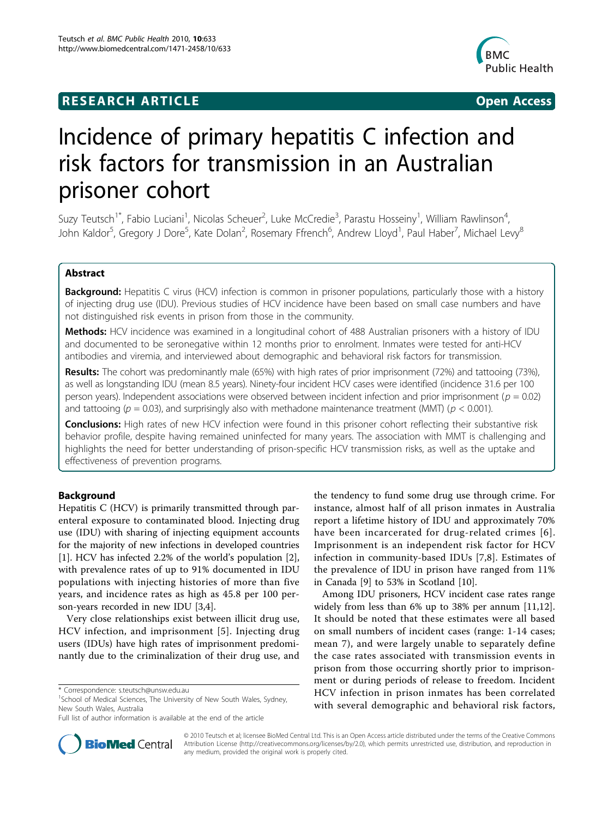## **RESEARCH ARTICLE Example 2008 CONSIDERING ACCESS**



# Incidence of primary hepatitis C infection and risk factors for transmission in an Australian prisoner cohort

Suzy Teutsch<sup>1\*</sup>, Fabio Luciani<sup>1</sup>, Nicolas Scheuer<sup>2</sup>, Luke McCredie<sup>3</sup>, Parastu Hosseiny<sup>1</sup>, William Rawlinson<sup>4</sup> , John Kaldor<sup>5</sup>, Gregory J Dore<sup>5</sup>, Kate Dolan<sup>2</sup>, Rosemary Ffrench<sup>6</sup>, Andrew Lloyd<sup>1</sup>, Paul Haber<sup>7</sup>, Michael Levy<sup>8</sup>

## Abstract

Background: Hepatitis C virus (HCV) infection is common in prisoner populations, particularly those with a history of injecting drug use (IDU). Previous studies of HCV incidence have been based on small case numbers and have not distinguished risk events in prison from those in the community.

Methods: HCV incidence was examined in a longitudinal cohort of 488 Australian prisoners with a history of IDU and documented to be seronegative within 12 months prior to enrolment. Inmates were tested for anti-HCV antibodies and viremia, and interviewed about demographic and behavioral risk factors for transmission.

Results: The cohort was predominantly male (65%) with high rates of prior imprisonment (72%) and tattooing (73%), as well as longstanding IDU (mean 8.5 years). Ninety-four incident HCV cases were identified (incidence 31.6 per 100 person years). Independent associations were observed between incident infection and prior imprisonment ( $p = 0.02$ ) and tattooing ( $p = 0.03$ ), and surprisingly also with methadone maintenance treatment (MMT) ( $p < 0.001$ ).

Conclusions: High rates of new HCV infection were found in this prisoner cohort reflecting their substantive risk behavior profile, despite having remained uninfected for many years. The association with MMT is challenging and highlights the need for better understanding of prison-specific HCV transmission risks, as well as the uptake and effectiveness of prevention programs.

## Background

Hepatitis C (HCV) is primarily transmitted through parenteral exposure to contaminated blood. Injecting drug use (IDU) with sharing of injecting equipment accounts for the majority of new infections in developed countries [[1\]](#page-7-0). HCV has infected 2.2% of the world's population [\[2](#page-7-0)], with prevalence rates of up to 91% documented in IDU populations with injecting histories of more than five years, and incidence rates as high as 45.8 per 100 person-years recorded in new IDU [\[3,4](#page-7-0)].

Very close relationships exist between illicit drug use, HCV infection, and imprisonment [[5](#page-7-0)]. Injecting drug users (IDUs) have high rates of imprisonment predominantly due to the criminalization of their drug use, and

the tendency to fund some drug use through crime. For instance, almost half of all prison inmates in Australia report a lifetime history of IDU and approximately 70% have been incarcerated for drug-related crimes [\[6\]](#page-7-0). Imprisonment is an independent risk factor for HCV infection in community-based IDUs [[7,8\]](#page-7-0). Estimates of the prevalence of IDU in prison have ranged from 11% in Canada [[9\]](#page-7-0) to 53% in Scotland [[10\]](#page-7-0).

Among IDU prisoners, HCV incident case rates range widely from less than 6% up to 38% per annum [\[11,12](#page-7-0)]. It should be noted that these estimates were all based on small numbers of incident cases (range: 1-14 cases; mean 7), and were largely unable to separately define the case rates associated with transmission events in prison from those occurring shortly prior to imprisonment or during periods of release to freedom. Incident HCV infection in prison inmates has been correlated with several demographic and behavioral risk factors,



© 2010 Teutsch et al; licensee BioMed Central Ltd. This is an Open Access article distributed under the terms of the Creative Commons Attribution License [\(http://creativecommons.org/licenses/by/2.0](http://creativecommons.org/licenses/by/2.0)), which permits unrestricted use, distribution, and reproduction in any medium, provided the original work is properly cited.

<sup>\*</sup> Correspondence: [s.teutsch@unsw.edu.au](mailto:s.teutsch@unsw.edu.au)

<sup>&</sup>lt;sup>1</sup>School of Medical Sciences, The University of New South Wales, Sydney, New South Wales, Australia

Full list of author information is available at the end of the article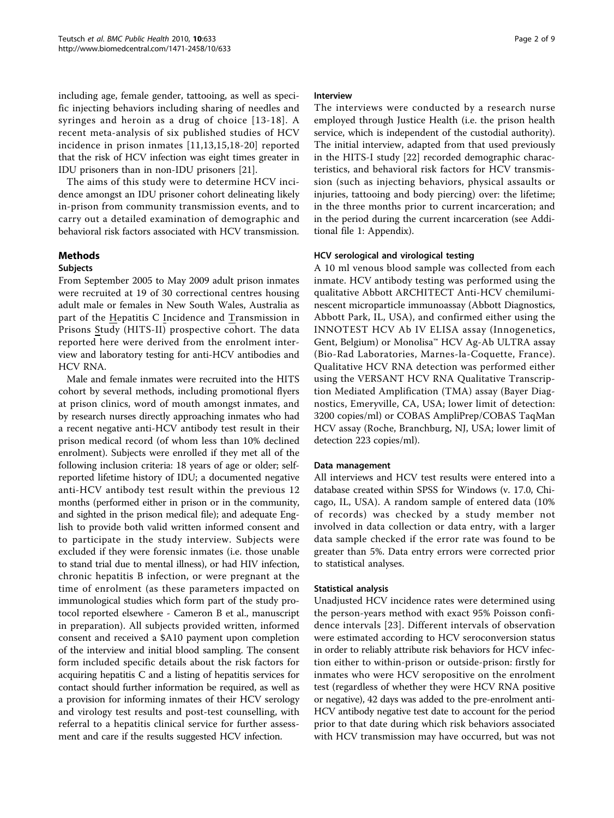including age, female gender, tattooing, as well as specific injecting behaviors including sharing of needles and syringes and heroin as a drug of choice [[13-18](#page-7-0)]. A recent meta-analysis of six published studies of HCV incidence in prison inmates [[11,13](#page-7-0),[15](#page-7-0),[18-20](#page-7-0)] reported that the risk of HCV infection was eight times greater in IDU prisoners than in non-IDU prisoners [[21\]](#page-7-0).

The aims of this study were to determine HCV incidence amongst an IDU prisoner cohort delineating likely in-prison from community transmission events, and to carry out a detailed examination of demographic and behavioral risk factors associated with HCV transmission.

## Methods

## Subjects

From September 2005 to May 2009 adult prison inmates were recruited at 19 of 30 correctional centres housing adult male or females in New South Wales, Australia as part of the Hepatitis C Incidence and Transmission in Prisons Study (HITS-II) prospective cohort. The data reported here were derived from the enrolment interview and laboratory testing for anti-HCV antibodies and HCV RNA.

Male and female inmates were recruited into the HITS cohort by several methods, including promotional flyers at prison clinics, word of mouth amongst inmates, and by research nurses directly approaching inmates who had a recent negative anti-HCV antibody test result in their prison medical record (of whom less than 10% declined enrolment). Subjects were enrolled if they met all of the following inclusion criteria: 18 years of age or older; selfreported lifetime history of IDU; a documented negative anti-HCV antibody test result within the previous 12 months (performed either in prison or in the community, and sighted in the prison medical file); and adequate English to provide both valid written informed consent and to participate in the study interview. Subjects were excluded if they were forensic inmates (i.e. those unable to stand trial due to mental illness), or had HIV infection, chronic hepatitis B infection, or were pregnant at the time of enrolment (as these parameters impacted on immunological studies which form part of the study protocol reported elsewhere - Cameron B et al., manuscript in preparation). All subjects provided written, informed consent and received a \$A10 payment upon completion of the interview and initial blood sampling. The consent form included specific details about the risk factors for acquiring hepatitis C and a listing of hepatitis services for contact should further information be required, as well as a provision for informing inmates of their HCV serology and virology test results and post-test counselling, with referral to a hepatitis clinical service for further assessment and care if the results suggested HCV infection.

### Interview

The interviews were conducted by a research nurse employed through Justice Health (i.e. the prison health service, which is independent of the custodial authority). The initial interview, adapted from that used previously in the HITS-I study [\[22](#page-7-0)] recorded demographic characteristics, and behavioral risk factors for HCV transmission (such as injecting behaviors, physical assaults or injuries, tattooing and body piercing) over: the lifetime; in the three months prior to current incarceration; and in the period during the current incarceration (see Additional file [1](#page-7-0): Appendix).

## HCV serological and virological testing

A 10 ml venous blood sample was collected from each inmate. HCV antibody testing was performed using the qualitative Abbott ARCHITECT Anti-HCV chemiluminescent microparticle immunoassay (Abbott Diagnostics, Abbott Park, IL, USA), and confirmed either using the INNOTEST HCV Ab IV ELISA assay (Innogenetics, Gent, Belgium) or Monolisa™ HCV Ag-Ab ULTRA assay (Bio-Rad Laboratories, Marnes-la-Coquette, France). Qualitative HCV RNA detection was performed either using the VERSANT HCV RNA Qualitative Transcription Mediated Amplification (TMA) assay (Bayer Diagnostics, Emeryville, CA, USA; lower limit of detection: 3200 copies/ml) or COBAS AmpliPrep/COBAS TaqMan HCV assay (Roche, Branchburg, NJ, USA; lower limit of detection 223 copies/ml).

## Data management

All interviews and HCV test results were entered into a database created within SPSS for Windows (v. 17.0, Chicago, IL, USA). A random sample of entered data (10% of records) was checked by a study member not involved in data collection or data entry, with a larger data sample checked if the error rate was found to be greater than 5%. Data entry errors were corrected prior to statistical analyses.

## Statistical analysis

Unadjusted HCV incidence rates were determined using the person-years method with exact 95% Poisson confidence intervals [[23\]](#page-8-0). Different intervals of observation were estimated according to HCV seroconversion status in order to reliably attribute risk behaviors for HCV infection either to within-prison or outside-prison: firstly for inmates who were HCV seropositive on the enrolment test (regardless of whether they were HCV RNA positive or negative), 42 days was added to the pre-enrolment anti-HCV antibody negative test date to account for the period prior to that date during which risk behaviors associated with HCV transmission may have occurred, but was not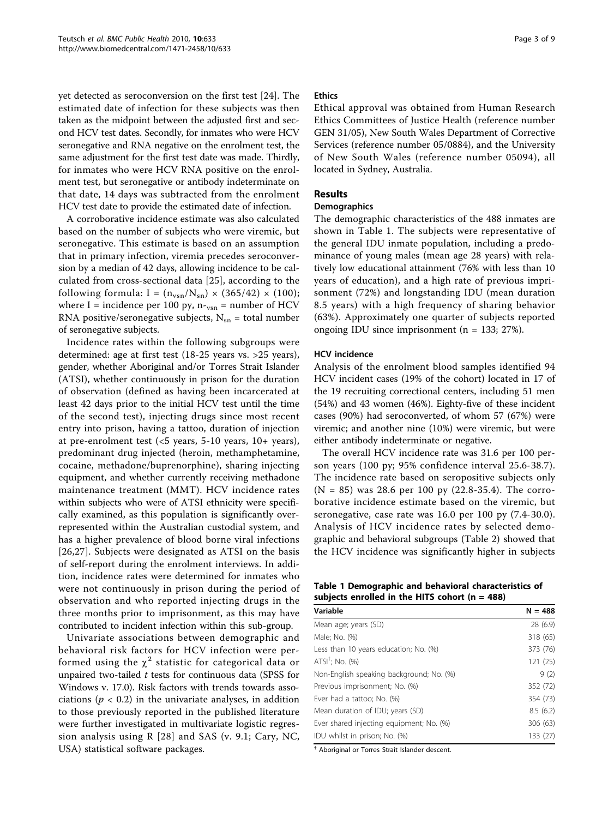yet detected as seroconversion on the first test [[24\]](#page-8-0). The estimated date of infection for these subjects was then taken as the midpoint between the adjusted first and second HCV test dates. Secondly, for inmates who were HCV seronegative and RNA negative on the enrolment test, the same adjustment for the first test date was made. Thirdly, for inmates who were HCV RNA positive on the enrolment test, but seronegative or antibody indeterminate on that date, 14 days was subtracted from the enrolment HCV test date to provide the estimated date of infection.

A corroborative incidence estimate was also calculated based on the number of subjects who were viremic, but seronegative. This estimate is based on an assumption that in primary infection, viremia precedes seroconversion by a median of 42 days, allowing incidence to be calculated from cross-sectional data [[25](#page-8-0)], according to the following formula: I =  $(n_{\text{vsn}}/N_{\text{sn}}) \times (365/42) \times (100)$ ; where I = incidence per 100 py,  $n_{\text{vsn}}$  = number of HCV RNA positive/seronegative subjects,  $N_{sn}$  = total number of seronegative subjects.

Incidence rates within the following subgroups were determined: age at first test (18-25 years vs. >25 years), gender, whether Aboriginal and/or Torres Strait Islander (ATSI), whether continuously in prison for the duration of observation (defined as having been incarcerated at least 42 days prior to the initial HCV test until the time of the second test), injecting drugs since most recent entry into prison, having a tattoo, duration of injection at pre-enrolment test  $(5$  years, 5-10 years, 10+ years), predominant drug injected (heroin, methamphetamine, cocaine, methadone/buprenorphine), sharing injecting equipment, and whether currently receiving methadone maintenance treatment (MMT). HCV incidence rates within subjects who were of ATSI ethnicity were specifically examined, as this population is significantly overrepresented within the Australian custodial system, and has a higher prevalence of blood borne viral infections [[26,27\]](#page-8-0). Subjects were designated as ATSI on the basis of self-report during the enrolment interviews. In addition, incidence rates were determined for inmates who were not continuously in prison during the period of observation and who reported injecting drugs in the three months prior to imprisonment, as this may have contributed to incident infection within this sub-group.

Univariate associations between demographic and behavioral risk factors for HCV infection were performed using the  $\chi^2$  statistic for categorical data or unpaired two-tailed  $t$  tests for continuous data (SPSS for Windows v. 17.0). Risk factors with trends towards associations ( $p < 0.2$ ) in the univariate analyses, in addition to those previously reported in the published literature were further investigated in multivariate logistic regression analysis using R [[28](#page-8-0)] and SAS (v. 9.1; Cary, NC, USA) statistical software packages.

### Ethics

Ethical approval was obtained from Human Research Ethics Committees of Justice Health (reference number GEN 31/05), New South Wales Department of Corrective Services (reference number 05/0884), and the University of New South Wales (reference number 05094), all located in Sydney, Australia.

## Results

### **Demographics**

The demographic characteristics of the 488 inmates are shown in Table 1. The subjects were representative of the general IDU inmate population, including a predominance of young males (mean age 28 years) with relatively low educational attainment (76% with less than 10 years of education), and a high rate of previous imprisonment (72%) and longstanding IDU (mean duration 8.5 years) with a high frequency of sharing behavior (63%). Approximately one quarter of subjects reported ongoing IDU since imprisonment (n = 133; 27%).

## HCV incidence

Analysis of the enrolment blood samples identified 94 HCV incident cases (19% of the cohort) located in 17 of the 19 recruiting correctional centers, including 51 men (54%) and 43 women (46%). Eighty-five of these incident cases (90%) had seroconverted, of whom 57 (67%) were viremic; and another nine (10%) were viremic, but were either antibody indeterminate or negative.

The overall HCV incidence rate was 31.6 per 100 person years (100 py; 95% confidence interval 25.6-38.7). The incidence rate based on seropositive subjects only  $(N = 85)$  was 28.6 per 100 py (22.8-35.4). The corroborative incidence estimate based on the viremic, but seronegative, case rate was 16.0 per 100 py (7.4-30.0). Analysis of HCV incidence rates by selected demographic and behavioral subgroups (Table [2\)](#page-3-0) showed that the HCV incidence was significantly higher in subjects

| Table 1 Demographic and behavioral characteristics of |  |
|-------------------------------------------------------|--|
| subjects enrolled in the HITS cohort $(n = 488)$      |  |

| Variable                                 | $N = 488$ |
|------------------------------------------|-----------|
| Mean age; years (SD)                     | 28 (6.9)  |
| Male; No. (%)                            | 318 (65)  |
| Less than 10 years education; No. (%)    | 373 (76)  |
| $ATSI^{\dagger}$ ; No. (%)               | 121(25)   |
| Non-English speaking background; No. (%) | 9(2)      |
| Previous imprisonment; No. (%)           | 352 (72)  |
| Ever had a tattoo; No. (%)               | 354 (73)  |
| Mean duration of IDU; years (SD)         | 8.5(6.2)  |
| Ever shared injecting equipment; No. (%) | 306 (63)  |
| IDU whilst in prison; No. (%)            | 133 (27)  |

† Aboriginal or Torres Strait Islander descent.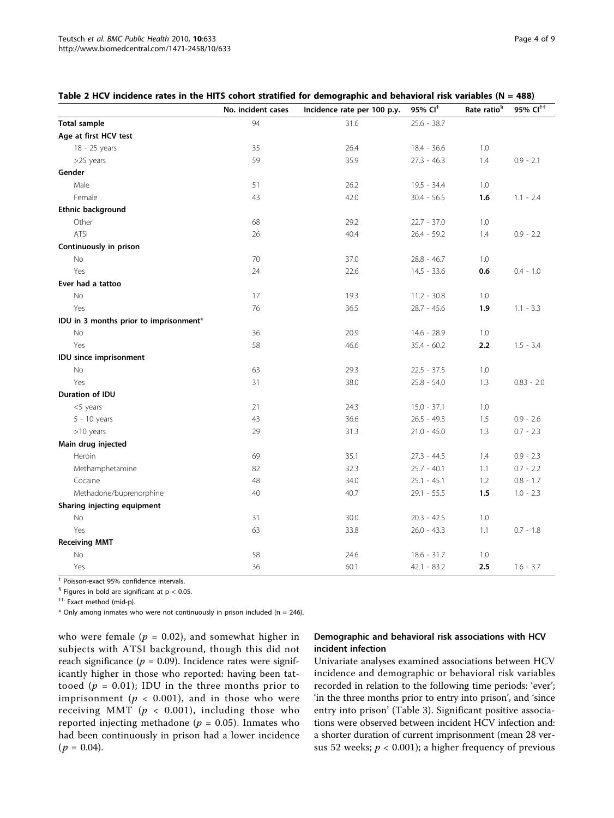|                                        | No. incident cases | Incidence rate per 100 p.y. | 95% $CI+$     | Rate ratio <sup>§</sup> | 95% CI <sup>++</sup> |
|----------------------------------------|--------------------|-----------------------------|---------------|-------------------------|----------------------|
| <b>Total sample</b>                    | 94                 | 31.6                        | $25.6 - 38.7$ |                         |                      |
| Age at first HCV test                  |                    |                             |               |                         |                      |
| 18 - 25 years                          | 35                 | 26.4                        | 18.4 - 36.6   | 1.0                     |                      |
| >25 years                              | 59                 | 35.9                        | $27.3 - 46.3$ | 1.4                     | $0.9 - 2.1$          |
| Gender                                 |                    |                             |               |                         |                      |
| Male                                   | 51                 | 26.2                        | $19.5 - 34.4$ | 1.0                     |                      |
| Female                                 | 43                 | 42.0                        | $30.4 - 56.5$ | 1.6                     | $1.1 - 2.4$          |
| Ethnic background                      |                    |                             |               |                         |                      |
| Other                                  | 68                 | 29.2                        | $22.7 - 37.0$ | 1.0                     |                      |
| <b>ATSI</b>                            | 26                 | 40.4                        | $26.4 - 59.2$ | 1.4                     | $0.9 - 2.2$          |
| Continuously in prison                 |                    |                             |               |                         |                      |
| No                                     | 70                 | 37.0                        | $28.8 - 46.7$ | 1.0                     |                      |
| Yes                                    | 24                 | 22.6                        | $14.5 - 33.6$ | 0.6                     | $0.4 - 1.0$          |
| Ever had a tattoo                      |                    |                             |               |                         |                      |
| No                                     | 17                 | 19.3                        | $11.2 - 30.8$ | 1.0                     |                      |
| Yes                                    | 76                 | 36.5                        | $28.7 - 45.6$ | 1.9                     | $1.1 - 3.3$          |
| IDU in 3 months prior to imprisonment* |                    |                             |               |                         |                      |
| No                                     | 36                 | 20.9                        | $14.6 - 28.9$ | 1.0                     |                      |
| Yes                                    | 58                 | 46.6                        | $35.4 - 60.2$ | 2.2                     | $1.5 - 3.4$          |
| IDU since imprisonment                 |                    |                             |               |                         |                      |
| No                                     | 63                 | 29.3                        | $22.5 - 37.5$ | 1.0                     |                      |
| Yes                                    | 31                 | 38.0                        | $25.8 - 54.0$ | 1.3                     | $0.83 - 2.0$         |
| Duration of IDU                        |                    |                             |               |                         |                      |
| $<$ 5 years                            | 21                 | 24.3                        | $15.0 - 37.1$ | 1.0                     |                      |
| $5 - 10$ years                         | 43                 | 36.6                        | $26.5 - 49.3$ | 1.5                     | $0.9 - 2.6$          |
| >10 years                              | 29                 | 31.3                        | $21.0 - 45.0$ | 1.3                     | $0.7 - 2.3$          |
| Main drug injected                     |                    |                             |               |                         |                      |
| Heroin                                 | 69                 | 35.1                        | $27.3 - 44.5$ | 1.4                     | $0.9 - 2.3$          |
| Methamphetamine                        | 82                 | 32.3                        | $25.7 - 40.1$ | $1.1\,$                 | $0.7 - 2.2$          |
| Cocaine                                | 48                 | 34.0                        | $25.1 - 45.1$ | 1.2                     | $0.8 - 1.7$          |
| Methadone/buprenorphine                | 40                 | 40.7                        | $29.1 - 55.5$ | 1.5                     | $1.0 - 2.3$          |
| Sharing injecting equipment            |                    |                             |               |                         |                      |
| No                                     | 31                 | 30.0                        | $20.3 - 42.5$ | 1.0                     |                      |
| Yes                                    | 63                 | 33.8                        | $26.0 - 43.3$ | $1.1\,$                 | $0.7 - 1.8$          |
| <b>Receiving MMT</b>                   |                    |                             |               |                         |                      |
| No                                     | 58                 | 24.6                        | $18.6 - 31.7$ | 1.0                     |                      |
| Yes                                    | 36                 | 60.1                        | $42.1 - 83.2$ | 2.5                     | $1.6 - 3.7$          |

<span id="page-3-0"></span>

| Table 2 HCV incidence rates in the HITS cohort stratified for demographic and behavioral risk variables ( $N = 488$ ) |  |
|-----------------------------------------------------------------------------------------------------------------------|--|
|-----------------------------------------------------------------------------------------------------------------------|--|

† Poisson-exact 95% confidence intervals.

 $\frac{6}{5}$  Figures in bold are significant at p < 0.05.

<sup>††.</sup> Exact method (mid-p).

 $*$  Only among inmates who were not continuously in prison included (n = 246).

who were female ( $p = 0.02$ ), and somewhat higher in subjects with ATSI background, though this did not reach significance ( $p = 0.09$ ). Incidence rates were significantly higher in those who reported: having been tattooed ( $p = 0.01$ ); IDU in the three months prior to imprisonment ( $p < 0.001$ ), and in those who were receiving MMT ( $p < 0.001$ ), including those who reported injecting methadone ( $p = 0.05$ ). Inmates who had been continuously in prison had a lower incidence  $(p = 0.04)$ .

## Demographic and behavioral risk associations with HCV incident infection

Univariate analyses examined associations between HCV incidence and demographic or behavioral risk variables recorded in relation to the following time periods: 'ever'; 'in the three months prior to entry into prison', and 'since entry into prison' (Table [3](#page-4-0)). Significant positive associations were observed between incident HCV infection and: a shorter duration of current imprisonment (mean 28 versus 52 weeks;  $p < 0.001$ ); a higher frequency of previous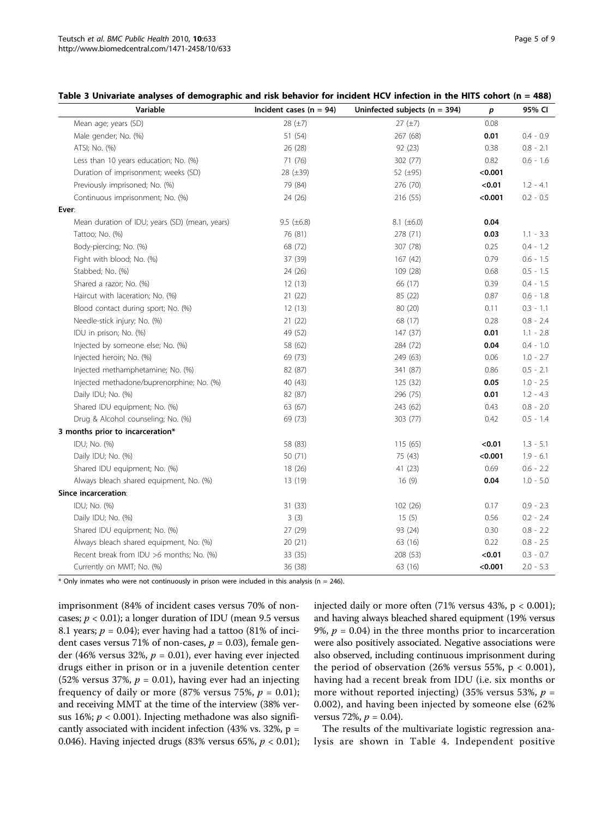| Variable                                       | Incident cases $(n = 94)$ | Uninfected subjects ( $n = 394$ ) | $\boldsymbol{p}$ | 95% CI      |
|------------------------------------------------|---------------------------|-----------------------------------|------------------|-------------|
| Mean age; years (SD)                           | 28 $(\pm 7)$              | $27 (\pm 7)$                      | 0.08             |             |
| Male gender; No. (%)                           | 51 (54)                   | 267 (68)                          | 0.01             | $0.4 - 0.9$ |
| ATSI; No. (%)                                  | 26 (28)                   | 92 (23)                           | 0.38             | $0.8 - 2.1$ |
| Less than 10 years education; No. (%)          | 71 (76)                   | 302 (77)                          | 0.82             | $0.6 - 1.6$ |
| Duration of imprisonment; weeks (SD)           | 28 (±39)                  | 52 (±95)                          | < 0.001          |             |
| Previously imprisoned; No. (%)                 | 79 (84)                   | 276 (70)                          | < 0.01           | $1.2 - 4.1$ |
| Continuous imprisonment; No. (%)               | 24 (26)                   | 216 (55)                          | < 0.001          | $0.2 - 0.5$ |
| Ever:                                          |                           |                                   |                  |             |
| Mean duration of IDU; years (SD) (mean, years) | 9.5 $(\pm 6.8)$           | $8.1 (\pm 6.0)$                   | 0.04             |             |
| Tattoo; No. (%)                                | 76 (81)                   | 278 (71)                          | 0.03             | $1.1 - 3.3$ |
| Body-piercing; No. (%)                         | 68 (72)                   | 307 (78)                          | 0.25             | $0.4 - 1.2$ |
| Fight with blood; No. (%)                      | 37 (39)                   | 167(42)                           | 0.79             | $0.6 - 1.5$ |
| Stabbed; No. (%)                               | 24 (26)                   | 109 (28)                          | 0.68             | $0.5 - 1.5$ |
| Shared a razor; No. (%)                        | 12(13)                    | 66 (17)                           | 0.39             | $0.4 - 1.5$ |
| Haircut with laceration; No. (%)               | 21 (22)                   | 85 (22)                           | 0.87             | $0.6 - 1.8$ |
| Blood contact during sport; No. (%)            | 12(13)                    | 80 (20)                           | 0.11             | $0.3 - 1.1$ |
| Needle-stick injury; No. (%)                   | 21 (22)                   | 68 (17)                           | 0.28             | $0.8 - 2.4$ |
| IDU in prison; No. (%)                         | 49 (52)                   | 147 (37)                          | 0.01             | $1.1 - 2.8$ |
| Injected by someone else; No. (%)              | 58 (62)                   | 284 (72)                          | 0.04             | $0.4 - 1.0$ |
| Injected heroin; No. (%)                       | 69 (73)                   | 249 (63)                          | 0.06             | $1.0 - 2.7$ |
| Injected methamphetamine; No. (%)              | 82 (87)                   | 341 (87)                          | 0.86             | $0.5 - 2.1$ |
| Injected methadone/buprenorphine; No. (%)      | 40 (43)                   | 125 (32)                          | 0.05             | $1.0 - 2.5$ |
| Daily IDU; No. (%)                             | 82 (87)                   | 296 (75)                          | 0.01             | $1.2 - 4.3$ |
| Shared IDU equipment; No. (%)                  | 63 (67)                   | 243 (62)                          | 0.43             | $0.8 - 2.0$ |
| Drug & Alcohol counseling; No. (%)             | 69 (73)                   | 303 (77)                          | 0.42             | $0.5 - 1.4$ |
| 3 months prior to incarceration*               |                           |                                   |                  |             |
| IDU; No. (%)                                   | 58 (83)                   | 115 (65)                          | < 0.01           | $1.3 - 5.1$ |
| Daily IDU; No. (%)                             | 50 (71)                   | 75 (43)                           | < 0.001          | $1.9 - 6.1$ |
| Shared IDU equipment; No. (%)                  | 18(26)                    | 41 (23)                           | 0.69             | $0.6 - 2.2$ |
| Always bleach shared equipment, No. (%)        | 13 (19)                   | 16 (9)                            | 0.04             | $1.0 - 5.0$ |
| Since incarceration:                           |                           |                                   |                  |             |
| IDU; No. (%)                                   | 31(33)                    | 102 (26)                          | 0.17             | $0.9 - 2.3$ |
| Daily IDU; No. (%)                             | 3(3)                      | 15(5)                             | 0.56             | $0.2 - 2.4$ |
| Shared IDU equipment; No. (%)                  | 27 (29)                   | 93 (24)                           | 0.30             | $0.8 - 2.2$ |
| Always bleach shared equipment, No. (%)        | 20(21)                    | 63 (16)                           | 0.22             | $0.8 - 2.5$ |
| Recent break from IDU >6 months; No. (%)       | 33 (35)                   | 208 (53)                          | < 0.01           | $0.3 - 0.7$ |
| Currently on MMT; No. (%)                      | 36 (38)                   | 63 (16)                           | < 0.001          | $2.0 - 5.3$ |

<span id="page-4-0"></span>

|  |  |  | Table 3 Univariate analyses of demographic and risk behavior for incident HCV infection in the HITS cohort (n = 488) |
|--|--|--|----------------------------------------------------------------------------------------------------------------------|
|--|--|--|----------------------------------------------------------------------------------------------------------------------|

 $*$  Only inmates who were not continuously in prison were included in this analysis (n = 246).

imprisonment (84% of incident cases versus 70% of noncases;  $p < 0.01$ ); a longer duration of IDU (mean 9.5 versus 8.1 years;  $p = 0.04$ ); ever having had a tattoo (81% of incident cases versus 71% of non-cases,  $p = 0.03$ ), female gender (46% versus 32%,  $p = 0.01$ ), ever having ever injected drugs either in prison or in a juvenile detention center (52% versus 37%,  $p = 0.01$ ), having ever had an injecting frequency of daily or more (87% versus 75%,  $p = 0.01$ ); and receiving MMT at the time of the interview (38% versus 16%;  $p < 0.001$ ). Injecting methadone was also significantly associated with incident infection (43% vs. 32%, p = 0.046). Having injected drugs (83% versus 65%,  $p < 0.01$ ); injected daily or more often  $(71\% \text{ versus } 43\%, \text{ p} < 0.001);$ and having always bleached shared equipment (19% versus 9%,  $p = 0.04$ ) in the three months prior to incarceration were also positively associated. Negative associations were also observed, including continuous imprisonment during the period of observation  $(26\% \text{ versus } 55\%, \text{ p} < 0.001)$ , having had a recent break from IDU (i.e. six months or more without reported injecting) (35% versus 53%,  $p =$ 0.002), and having been injected by someone else (62% versus 72%,  $p = 0.04$ ).

The results of the multivariate logistic regression analysis are shown in Table [4.](#page-5-0) Independent positive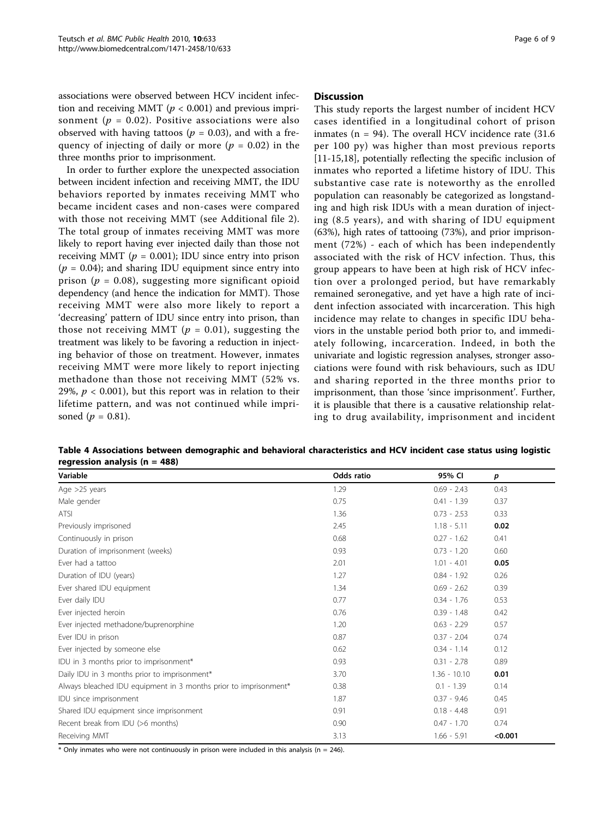<span id="page-5-0"></span>associations were observed between HCV incident infection and receiving MMT ( $p < 0.001$ ) and previous imprisonment ( $p = 0.02$ ). Positive associations were also observed with having tattoos ( $p = 0.03$ ), and with a frequency of injecting of daily or more ( $p = 0.02$ ) in the three months prior to imprisonment.

In order to further explore the unexpected association between incident infection and receiving MMT, the IDU behaviors reported by inmates receiving MMT who became incident cases and non-cases were compared with those not receiving MMT (see Additional file [2\)](#page-7-0). The total group of inmates receiving MMT was more likely to report having ever injected daily than those not receiving MMT ( $p = 0.001$ ); IDU since entry into prison  $(p = 0.04)$ ; and sharing IDU equipment since entry into prison ( $p = 0.08$ ), suggesting more significant opioid dependency (and hence the indication for MMT). Those receiving MMT were also more likely to report a 'decreasing' pattern of IDU since entry into prison, than those not receiving MMT ( $p = 0.01$ ), suggesting the treatment was likely to be favoring a reduction in injecting behavior of those on treatment. However, inmates receiving MMT were more likely to report injecting methadone than those not receiving MMT (52% vs. 29%,  $p < 0.001$ ), but this report was in relation to their lifetime pattern, and was not continued while imprisoned ( $p = 0.81$ ).

#### **Discussion**

This study reports the largest number of incident HCV cases identified in a longitudinal cohort of prison inmates ( $n = 94$ ). The overall HCV incidence rate (31.6) per 100 py) was higher than most previous reports [[11-15,18](#page-7-0)], potentially reflecting the specific inclusion of inmates who reported a lifetime history of IDU. This substantive case rate is noteworthy as the enrolled population can reasonably be categorized as longstanding and high risk IDUs with a mean duration of injecting (8.5 years), and with sharing of IDU equipment (63%), high rates of tattooing (73%), and prior imprisonment (72%) - each of which has been independently associated with the risk of HCV infection. Thus, this group appears to have been at high risk of HCV infection over a prolonged period, but have remarkably remained seronegative, and yet have a high rate of incident infection associated with incarceration. This high incidence may relate to changes in specific IDU behaviors in the unstable period both prior to, and immediately following, incarceration. Indeed, in both the univariate and logistic regression analyses, stronger associations were found with risk behaviours, such as IDU and sharing reported in the three months prior to imprisonment, than those 'since imprisonment'. Further, it is plausible that there is a causative relationship relating to drug availability, imprisonment and incident

| Variable                                                         | Odds ratio | 95% CI         | p       |
|------------------------------------------------------------------|------------|----------------|---------|
| Age $>25$ years                                                  | 1.29       | $0.69 - 2.43$  | 0.43    |
| Male gender                                                      | 0.75       | $0.41 - 1.39$  | 0.37    |
| <b>ATSI</b>                                                      | 1.36       | $0.73 - 2.53$  | 0.33    |
| Previously imprisoned                                            | 2.45       | $1.18 - 5.11$  | 0.02    |
| Continuously in prison                                           | 0.68       | $0.27 - 1.62$  | 0.41    |
| Duration of imprisonment (weeks)                                 | 0.93       | $0.73 - 1.20$  | 0.60    |
| Ever had a tattoo                                                | 2.01       | $1.01 - 4.01$  | 0.05    |
| Duration of IDU (years)                                          | 1.27       | $0.84 - 1.92$  | 0.26    |
| Ever shared IDU equipment                                        | 1.34       | $0.69 - 2.62$  | 0.39    |
| Ever daily IDU                                                   | 0.77       | $0.34 - 1.76$  | 0.53    |
| Ever injected heroin                                             | 0.76       | $0.39 - 1.48$  | 0.42    |
| Ever injected methadone/buprenorphine                            | 1.20       | $0.63 - 2.29$  | 0.57    |
| Ever IDU in prison                                               | 0.87       | $0.37 - 2.04$  | 0.74    |
| Ever injected by someone else                                    | 0.62       | $0.34 - 1.14$  | 0.12    |
| IDU in 3 months prior to imprisonment*                           | 0.93       | $0.31 - 2.78$  | 0.89    |
| Daily IDU in 3 months prior to imprisonment*                     | 3.70       | $1.36 - 10.10$ | 0.01    |
| Always bleached IDU equipment in 3 months prior to imprisonment* | 0.38       | $0.1 - 1.39$   | 0.14    |
| IDU since imprisonment                                           | 1.87       | $0.37 - 9.46$  | 0.45    |
| Shared IDU equipment since imprisonment                          | 0.91       | $0.18 - 4.48$  | 0.91    |
| Recent break from IDU (>6 months)                                | 0.90       | $0.47 - 1.70$  | 0.74    |
| Receiving MMT                                                    | 3.13       | $1.66 - 5.91$  | < 0.001 |

Table 4 Associations between demographic and behavioral characteristics and HCV incident case status using logistic regression analysis ( $n = 488$ )

\* Only inmates who were not continuously in prison were included in this analysis (n = 246).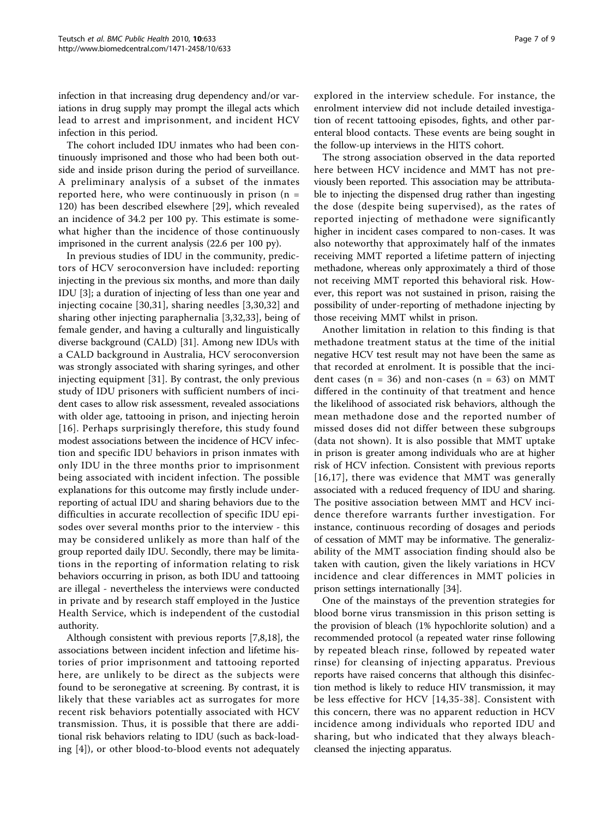infection in that increasing drug dependency and/or variations in drug supply may prompt the illegal acts which lead to arrest and imprisonment, and incident HCV infection in this period.

The cohort included IDU inmates who had been continuously imprisoned and those who had been both outside and inside prison during the period of surveillance. A preliminary analysis of a subset of the inmates reported here, who were continuously in prison  $(n =$ 120) has been described elsewhere [[29](#page-8-0)], which revealed an incidence of 34.2 per 100 py. This estimate is somewhat higher than the incidence of those continuously imprisoned in the current analysis (22.6 per 100 py).

In previous studies of IDU in the community, predictors of HCV seroconversion have included: reporting injecting in the previous six months, and more than daily IDU [\[3](#page-7-0)]; a duration of injecting of less than one year and injecting cocaine [[30](#page-8-0),[31\]](#page-8-0), sharing needles [[3,](#page-7-0)[30](#page-8-0),[32\]](#page-8-0) and sharing other injecting paraphernalia [\[3](#page-7-0),[32,33](#page-8-0)], being of female gender, and having a culturally and linguistically diverse background (CALD) [[31\]](#page-8-0). Among new IDUs with a CALD background in Australia, HCV seroconversion was strongly associated with sharing syringes, and other injecting equipment [[31\]](#page-8-0). By contrast, the only previous study of IDU prisoners with sufficient numbers of incident cases to allow risk assessment, revealed associations with older age, tattooing in prison, and injecting heroin [[16\]](#page-7-0). Perhaps surprisingly therefore, this study found modest associations between the incidence of HCV infection and specific IDU behaviors in prison inmates with only IDU in the three months prior to imprisonment being associated with incident infection. The possible explanations for this outcome may firstly include underreporting of actual IDU and sharing behaviors due to the difficulties in accurate recollection of specific IDU episodes over several months prior to the interview - this may be considered unlikely as more than half of the group reported daily IDU. Secondly, there may be limitations in the reporting of information relating to risk behaviors occurring in prison, as both IDU and tattooing are illegal - nevertheless the interviews were conducted in private and by research staff employed in the Justice Health Service, which is independent of the custodial authority.

Although consistent with previous reports [\[7,8,18](#page-7-0)], the associations between incident infection and lifetime histories of prior imprisonment and tattooing reported here, are unlikely to be direct as the subjects were found to be seronegative at screening. By contrast, it is likely that these variables act as surrogates for more recent risk behaviors potentially associated with HCV transmission. Thus, it is possible that there are additional risk behaviors relating to IDU (such as back-loading [\[4](#page-7-0)]), or other blood-to-blood events not adequately

explored in the interview schedule. For instance, the enrolment interview did not include detailed investigation of recent tattooing episodes, fights, and other parenteral blood contacts. These events are being sought in the follow-up interviews in the HITS cohort.

The strong association observed in the data reported here between HCV incidence and MMT has not previously been reported. This association may be attributable to injecting the dispensed drug rather than ingesting the dose (despite being supervised), as the rates of reported injecting of methadone were significantly higher in incident cases compared to non-cases. It was also noteworthy that approximately half of the inmates receiving MMT reported a lifetime pattern of injecting methadone, whereas only approximately a third of those not receiving MMT reported this behavioral risk. However, this report was not sustained in prison, raising the possibility of under-reporting of methadone injecting by those receiving MMT whilst in prison.

Another limitation in relation to this finding is that methadone treatment status at the time of the initial negative HCV test result may not have been the same as that recorded at enrolment. It is possible that the incident cases ( $n = 36$ ) and non-cases ( $n = 63$ ) on MMT differed in the continuity of that treatment and hence the likelihood of associated risk behaviors, although the mean methadone dose and the reported number of missed doses did not differ between these subgroups (data not shown). It is also possible that MMT uptake in prison is greater among individuals who are at higher risk of HCV infection. Consistent with previous reports [[16,17\]](#page-7-0), there was evidence that MMT was generally associated with a reduced frequency of IDU and sharing. The positive association between MMT and HCV incidence therefore warrants further investigation. For instance, continuous recording of dosages and periods of cessation of MMT may be informative. The generalizability of the MMT association finding should also be taken with caution, given the likely variations in HCV incidence and clear differences in MMT policies in prison settings internationally [[34\]](#page-8-0).

One of the mainstays of the prevention strategies for blood borne virus transmission in this prison setting is the provision of bleach (1% hypochlorite solution) and a recommended protocol (a repeated water rinse following by repeated bleach rinse, followed by repeated water rinse) for cleansing of injecting apparatus. Previous reports have raised concerns that although this disinfection method is likely to reduce HIV transmission, it may be less effective for HCV [[14](#page-7-0),[35-38](#page-8-0)]. Consistent with this concern, there was no apparent reduction in HCV incidence among individuals who reported IDU and sharing, but who indicated that they always bleachcleansed the injecting apparatus.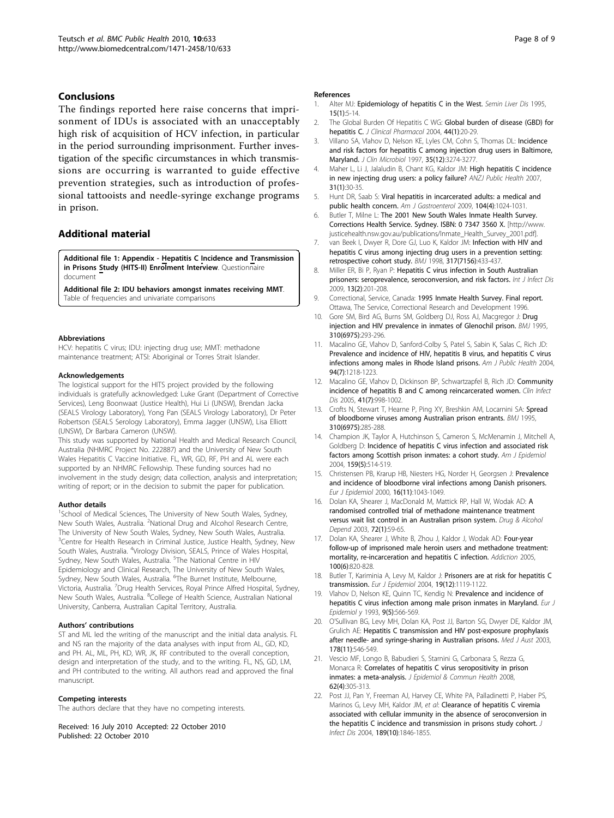## <span id="page-7-0"></span>Conclusions

The findings reported here raise concerns that imprisonment of IDUs is associated with an unacceptably high risk of acquisition of HCV infection, in particular in the period surrounding imprisonment. Further investigation of the specific circumstances in which transmissions are occurring is warranted to guide effective prevention strategies, such as introduction of professional tattooists and needle-syringe exchange programs in prison.

## Additional material

[Additional file 1:](http://www.biomedcentral.com/content/supplementary/1471-2458-10-633-S1.DOC) Appendix - Hepatitis C Incidence and Transmission in Prisons Study (HITS-II) Enrolment Interview. Questionnaire document

[Additional file 2: I](http://www.biomedcentral.com/content/supplementary/1471-2458-10-633-S2.DOC)DU behaviors amongst inmates receiving MMT. Table of frequencies and univariate comparisons

#### Abbreviations

HCV: hepatitis C virus; IDU: injecting drug use; MMT: methadone maintenance treatment; ATSI: Aboriginal or Torres Strait Islander.

#### Acknowledgements

The logistical support for the HITS project provided by the following individuals is gratefully acknowledged: Luke Grant (Department of Corrective Services), Leng Boonwaat (Justice Health), Hui Li (UNSW), Brendan Jacka (SEALS Virology Laboratory), Yong Pan (SEALS Virology Laboratory), Dr Peter Robertson (SEALS Serology Laboratory), Emma Jagger (UNSW), Lisa Elliott (UNSW), Dr Barbara Cameron (UNSW).

This study was supported by National Health and Medical Research Council, Australia (NHMRC Project No. 222887) and the University of New South Wales Hepatitis C Vaccine Initiative. FL, WR, GD, RF, PH and AL were each supported by an NHMRC Fellowship. These funding sources had no involvement in the study design; data collection, analysis and interpretation; writing of report; or in the decision to submit the paper for publication.

#### Author details

<sup>1</sup>School of Medical Sciences, The University of New South Wales, Sydney, New South Wales, Australia. <sup>2</sup>National Drug and Alcohol Research Centre, The University of New South Wales, Sydney, New South Wales, Australia. <sup>3</sup>Centre for Health Research in Criminal Justice, Justice Health, Sydney, New South Wales, Australia. <sup>4</sup>Virology Division, SEALS, Prince of Wales Hospital, Sydney, New South Wales, Australia. <sup>5</sup>The National Centre in HIV Epidemiology and Clinical Research, The University of New South Wales, Sydney, New South Wales, Australia. <sup>6</sup>The Burnet Institute, Melbourne, Victoria, Australia. <sup>7</sup> Drug Health Services, Royal Prince Alfred Hospital, Sydney, New South Wales, Australia. <sup>8</sup>College of Health Science, Australian National University, Canberra, Australian Capital Territory, Australia.

#### Authors' contributions

ST and ML led the writing of the manuscript and the initial data analysis. FL and NS ran the majority of the data analyses with input from AL, GD, KD, and PH. AL, ML, PH, KD, WR, JK, RF contributed to the overall conception, design and interpretation of the study, and to the writing. FL, NS, GD, LM, and PH contributed to the writing. All authors read and approved the final manuscript.

#### Competing interests

The authors declare that they have no competing interests.

Received: 16 July 2010 Accepted: 22 October 2010 Published: 22 October 2010

#### References

- 1. Alter MJ: [Epidemiology of hepatitis C in the West.](http://www.ncbi.nlm.nih.gov/pubmed/7597444?dopt=Abstract) Semin Liver Dis 1995, 15(1):5-14.
- 2. The Global Burden Of Hepatitis C WG: Global burden of disease (GBD) for hepatitis C. J Clinical Pharmacol 2004, 44(1):20-29.
- Villano SA, Vlahov D, Nelson KE, Lyles CM, Cohn S, Thomas DL: [Incidence](http://www.ncbi.nlm.nih.gov/pubmed/9399533?dopt=Abstract) [and risk factors for hepatitis C among injection drug users in Baltimore,](http://www.ncbi.nlm.nih.gov/pubmed/9399533?dopt=Abstract) [Maryland.](http://www.ncbi.nlm.nih.gov/pubmed/9399533?dopt=Abstract) J Clin Microbiol 1997, 35(12):3274-3277.
- 4. Maher L, Li J, Jalaludin B, Chant KG, Kaldor JM: High hepatitis C incidence in new injecting drug users: a policy failure? ANZJ Public Health 2007, 31(1):30-35.
- 5. Hunt DR, Saab S: [Viral hepatitis in incarcerated adults: a medical and](http://www.ncbi.nlm.nih.gov/pubmed/19240708?dopt=Abstract) [public health concern.](http://www.ncbi.nlm.nih.gov/pubmed/19240708?dopt=Abstract) Am J Gastroenterol 2009, 104(4):1024-1031.
- 6. Butler T, Milne L: The 2001 New South Wales Inmate Health Survey. Corrections Health Service. Sydney. ISBN: 0 7347 3560 X. [\[http://www.](http://www.justicehealth.nsw.gov.au/publications/Inmate_Health_Survey_2001.pdf) [justicehealth.nsw.gov.au/publications/Inmate\\_Health\\_Survey\\_2001.pdf\]](http://www.justicehealth.nsw.gov.au/publications/Inmate_Health_Survey_2001.pdf).
- 7. van Beek I, Dwyer R, Dore GJ, Luo K, Kaldor JM: [Infection with HIV and](http://www.ncbi.nlm.nih.gov/pubmed/9703523?dopt=Abstract) [hepatitis C virus among injecting drug users in a prevention setting:](http://www.ncbi.nlm.nih.gov/pubmed/9703523?dopt=Abstract) [retrospective cohort study.](http://www.ncbi.nlm.nih.gov/pubmed/9703523?dopt=Abstract) BMJ 1998, 317(7156):433-437.
- 8. Miller ER, Bi P, Ryan P: [Hepatitis C virus infection in South Australian](http://www.ncbi.nlm.nih.gov/pubmed/18790659?dopt=Abstract) [prisoners: seroprevalence, seroconversion, and risk factors.](http://www.ncbi.nlm.nih.gov/pubmed/18790659?dopt=Abstract) Int J Infect Dis 2009, 13(2):201-208.
- 9. Correctional, Service, Canada: 1995 Inmate Health Survey. Final report. Ottawa, The Service, Correctional Research and Development 1996.
- 10. Gore SM, Bird AG, Burns SM, Goldberg DJ, Ross AJ, Macgregor J: [Drug](http://www.ncbi.nlm.nih.gov/pubmed/7866170?dopt=Abstract) [injection and HIV prevalence in inmates of Glenochil prison.](http://www.ncbi.nlm.nih.gov/pubmed/7866170?dopt=Abstract) BMJ 1995, 310(6975):293-296.
- 11. Macalino GE, Vlahov D, Sanford-Colby S, Patel S, Sabin K, Salas C, Rich JD: [Prevalence and incidence of HIV, hepatitis B virus, and hepatitis C virus](http://www.ncbi.nlm.nih.gov/pubmed/15226146?dopt=Abstract) [infections among males in Rhode Island prisons.](http://www.ncbi.nlm.nih.gov/pubmed/15226146?dopt=Abstract) Am J Public Health 2004, 94(7):1218-1223.
- 12. Macalino GE, Vlahov D, Dickinson BP, Schwartzapfel B, Rich JD: [Community](http://www.ncbi.nlm.nih.gov/pubmed/16142665?dopt=Abstract) [incidence of hepatitis B and C among reincarcerated women.](http://www.ncbi.nlm.nih.gov/pubmed/16142665?dopt=Abstract) Clin Infect Dis 2005, 41(7):998-1002.
- 13. Crofts N, Stewart T, Hearne P, Ping XY, Breshkin AM, Locarnini SA: [Spread](http://www.ncbi.nlm.nih.gov/pubmed/7866168?dopt=Abstract) [of bloodborne viruses among Australian prison entrants.](http://www.ncbi.nlm.nih.gov/pubmed/7866168?dopt=Abstract) BMJ 1995, 310(6975):285-288.
- 14. Champion JK, Taylor A, Hutchinson S, Cameron S, McMenamin J, Mitchell A, Goldberg D: [Incidence of hepatitis C virus infection and associated risk](http://www.ncbi.nlm.nih.gov/pubmed/14977648?dopt=Abstract) [factors among Scottish prison inmates: a cohort study.](http://www.ncbi.nlm.nih.gov/pubmed/14977648?dopt=Abstract) Am J Epidemiol 2004, 159(5):514-519.
- 15. Christensen PB, Krarup HB, Niesters HG, Norder H, Georgsen J: [Prevalence](http://www.ncbi.nlm.nih.gov/pubmed/11421474?dopt=Abstract) [and incidence of bloodborne viral infections among Danish prisoners.](http://www.ncbi.nlm.nih.gov/pubmed/11421474?dopt=Abstract) Eur J Epidemiol 2000, 16(11):1043-1049.
- 16. Dolan KA, Shearer J, MacDonald M, Mattick RP, Hall W, Wodak AD: A randomised controlled trial of methadone maintenance treatment versus wait list control in an Australian prison system. Drug & Alcohol Depend 2003, 72(1):59-65.
- 17. Dolan KA, Shearer J, White B, Zhou J, Kaldor J, Wodak AD: [Four-year](http://www.ncbi.nlm.nih.gov/pubmed/15918812?dopt=Abstract) [follow-up of imprisoned male heroin users and methadone treatment:](http://www.ncbi.nlm.nih.gov/pubmed/15918812?dopt=Abstract) [mortality, re-incarceration and hepatitis C infection.](http://www.ncbi.nlm.nih.gov/pubmed/15918812?dopt=Abstract) Addiction 2005, 100(6):820-828.
- 18. Butler T, Kariminia A, Levy M, Kaldor J: [Prisoners are at risk for hepatitis C](http://www.ncbi.nlm.nih.gov/pubmed/15678792?dopt=Abstract) [transmission.](http://www.ncbi.nlm.nih.gov/pubmed/15678792?dopt=Abstract) Eur J Epidemiol 2004, 19(12):1119-1122.
- 19. Vlahov D, Nelson KE, Quinn TC, Kendig N: Prevalence and incidence of hepatitis C virus infection among male prison inmates in Maryland. Eur J Epidemiol y 1993, 9(5):566-569.
- 20. O'Sullivan BG, Levy MH, Dolan KA, Post JJ, Barton SG, Dwyer DE, Kaldor JM, Grulich AE: [Hepatitis C transmission and HIV post-exposure prophylaxis](http://www.ncbi.nlm.nih.gov/pubmed/12765501?dopt=Abstract) [after needle- and syringe-sharing in Australian prisons.](http://www.ncbi.nlm.nih.gov/pubmed/12765501?dopt=Abstract) Med J Aust 2003, 178(11):546-549.
- 21. Vescio MF, Longo B, Babudieri S, Starnini G, Carbonara S, Rezza G, Monarca R: Correlates of hepatitis C virus seropositivity in prison inmates: a meta-analysis. J Epidemiol & Commun Health 2008, 62(4):305-313.
- 22. Post JJ, Pan Y, Freeman AJ, Harvey CE, White PA, Palladinetti P, Haber PS, Marinos G, Levy MH, Kaldor JM, et al: [Clearance of hepatitis C viremia](http://www.ncbi.nlm.nih.gov/pubmed/15122521?dopt=Abstract) [associated with cellular immunity in the absence of seroconversion in](http://www.ncbi.nlm.nih.gov/pubmed/15122521?dopt=Abstract) [the hepatitis C incidence and transmission in prisons study cohort.](http://www.ncbi.nlm.nih.gov/pubmed/15122521?dopt=Abstract) J Infect Dis 2004, 189(10):1846-1855.